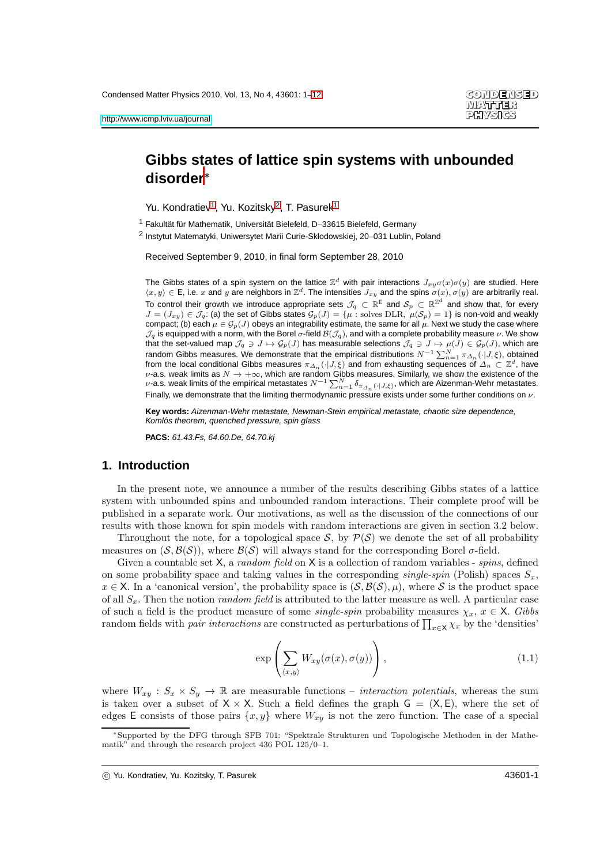# **Gibbs states of lattice spin systems with unbounded disorder**<sup>∗</sup>

<span id="page-0-0"></span>Yu. Kondratiev<sup>[1](#page-0-0)</sup>, Yu. Kozitsky<sup>[2](#page-0-1)</sup>, T. Pasurek<sup>1</sup>

<span id="page-0-1"></span><sup>1</sup> Fakultät für Mathematik, Universität Bielefeld, D–33615 Bielefeld, Germany

2 Instytut Matematyki, Uniwersytet Marii Curie-Skłodowskiej, 20–031 Lublin, Poland

Received September 9, 2010, in final form September 28, 2010

The Gibbs states of a spin system on the lattice  $\mathbb{Z}^d$  with pair interactions  $J_{xy}\sigma(x)\sigma(y)$  are studied. Here  $\langle x, y \rangle \in \mathsf{E}$ , i.e. x and y are neighbors in  $\mathbb{Z}^d$ . The intensities  $J_{xy}$  and the spins  $\sigma(x), \sigma(y)$  are arbitrarily real. To control their growth we introduce appropriate sets  $\mathcal{J}_q\, \subset\, \mathbb{R}^{\mathsf{E}}$  and  $\mathcal{S}_p\, \subset\, \mathbb{R}^{\mathbb{Z}^d}$  and show that, for every  $J=(J_{xy})\in\mathcal{J}_q$ : (a) the set of Gibbs states  $\mathcal{G}_p(J)=\{\mu:\mathrm{solves\ DLR},\ \mu(\mathcal{S}_p)=1\}$  is non-void and weakly compact; (b) each  $\mu \in \mathcal{G}_p(J)$  obeys an integrability estimate, the same for all  $\mu$ . Next we study the case where  $J_q$  is equipped with a norm, with the Borel  $\sigma$ -field  $B(\mathcal{J}_q)$ , and with a complete probability measure  $\nu$ . We show that the set-valued map  $\mathcal{J}_q \ni J \mapsto \mathcal{G}_p(J)$  has measurable selections  $\mathcal{J}_q \ni J \mapsto \mu(J) \in \mathcal{G}_p(J)$ , which are random Gibbs measures. We demonstrate that the empirical distributions  $N^{-1}\sum_{n=1}^N \pi_{\Delta_n}(\cdot|J,\xi)$ , obtained from the local conditional Gibbs measures  $\pi_{\Delta_n}(\cdot|J,\xi)$  and from exhausting sequences of  $\Delta_n\subset\Z^d$ , have  $\nu$ -a.s. weak limits as  $N \to +\infty$ , which are random Gibbs measures. Similarly, we show the existence of the  $\nu$ -a.s. weak limits of the empirical metastates  $N^{-1}\sum_{n=1}^N \delta_{\pi_{\Delta_n}(\cdot|J,\xi)}$ , which are Aizenman-Wehr met Finally, we demonstrate that the limiting thermodynamic pressure exists under some further conditions on  $\nu$ .

**Key words:** Aizenman-Wehr metastate, Newman-Stein empirical metastate, chaotic size dependence, Komlós theorem, quenched pressure, spin glass

**PACS:** 61.43.Fs, 64.60.De, 64.70.kj

## **1. Introduction**

In the present note, we announce a number of the results describing Gibbs states of a lattice system with unbounded spins and unbounded random interactions. Their complete proof will be published in a separate work. Our motivations, as well as the discussion of the connections of our results with those known for spin models with random interactions are given in section 3.2 below.

Throughout the note, for a topological space  $S$ , by  $\mathcal{P}(S)$  we denote the set of all probability measures on  $(S, \mathcal{B}(S))$ , where  $\mathcal{B}(S)$  will always stand for the corresponding Borel  $\sigma$ -field.

Given a countable set  $X$ , a *random field* on  $X$  is a collection of random variables - *spins*, defined on some probability space and taking values in the corresponding *single-spin* (Polish) spaces  $S_x$ ,  $x \in X$ . In a 'canonical version', the probability space is  $(S, \mathcal{B}(S), \mu)$ , where S is the product space of all  $S_x$ . Then the notion *random field* is attributed to the latter measure as well. A particular case of such a field is the product measure of some *single-spin* probability measures  $\chi_x, x \in \mathsf{X}$ . Gibbs random fields with *pair interactions* are constructed as perturbations of  $\prod_{x \in \mathsf{X}} \chi_x$  by the 'densities'

<span id="page-0-2"></span>
$$
\exp\left(\sum_{\langle x,y\rangle} W_{xy}(\sigma(x),\sigma(y))\right),\tag{1.1}
$$

where  $W_{xy}: S_x \times S_y \to \mathbb{R}$  are measurable functions – *interaction potentials*, whereas the sum is taken over a subset of  $X \times X$ . Such a field defines the graph  $G = (X, E)$ , where the set of edges E consists of those pairs  $\{x, y\}$  where  $W_{xy}$  is not the zero function. The case of a special

c Yu. Kondratiev, Yu. Kozitsky, T. Pasurek 43601-1

<sup>∗</sup>Supported by the DFG through SFB 701: "Spektrale Strukturen und Topologische Methoden in der Mathematik" and through the research project 436 POL 125/0–1.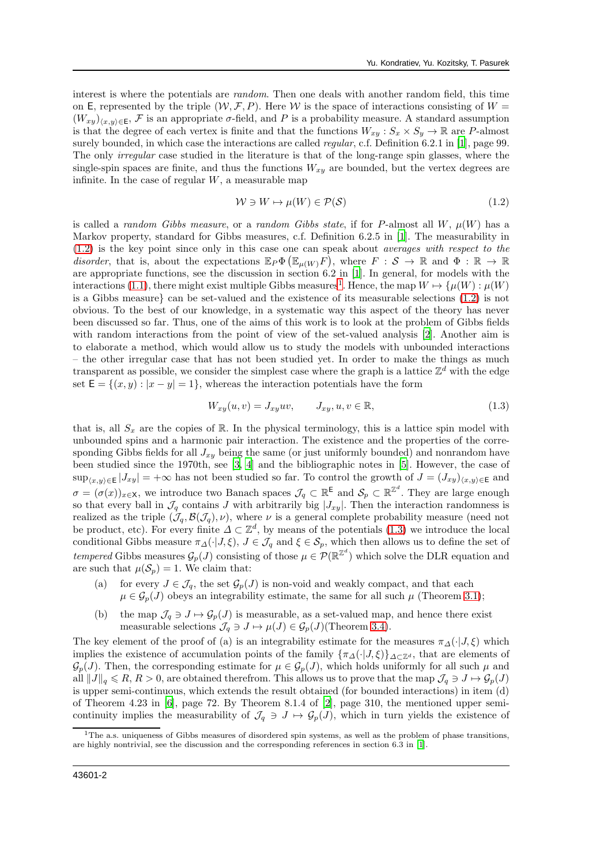interest is where the potentials are random. Then one deals with another random field, this time on E, represented by the triple  $(W, \mathcal{F}, P)$ . Here W is the space of interactions consisting of  $W =$  $(W_{xy})_{(x,y)\in E}$ , F is an appropriate  $\sigma$ -field, and P is a probability measure. A standard assumption is that the degree of each vertex is finite and that the functions  $W_{xy}: S_x \times S_y \to \mathbb{R}$  are P-almost surely bounded, in which case the interactions are called *regular*, c.f. Definition 6.2.1 in [\[1\]](#page-10-0), page 99. The only *irregular* case studied in the literature is that of the long-range spin glasses, where the single-spin spaces are finite, and thus the functions  $W_{xy}$  are bounded, but the vertex degrees are infinite. In the case of regular  $W$ , a measurable map

<span id="page-1-0"></span>
$$
\mathcal{W} \ni W \mapsto \mu(W) \in \mathcal{P}(\mathcal{S}) \tag{1.2}
$$

is called a random Gibbs measure, or a random Gibbs state, if for P-almost all W,  $\mu(W)$  has a Markov property, standard for Gibbs measures, c.f. Definition 6.2.5 in [\[1](#page-10-0)]. The measurability in [\(1.2\)](#page-1-0) is the key point since only in this case one can speak about averages with respect to the disorder, that is, about the expectations  $\mathbb{E}_P \Phi \left( \mathbb{E}_{\mu(W)} F \right)$ , where  $F : S \to \mathbb{R}$  and  $\Phi : \mathbb{R} \to \mathbb{R}$ are appropriate functions, see the discussion in section 6.2 in [\[1](#page-10-0)]. In general, for models with the interactions [\(1.1\)](#page-0-2), there might exist multiple Gibbs measures<sup>[1](#page-1-1)</sup>. Hence, the map  $W \mapsto {\mu(W) : \mu(W)}$ is a Gibbs measure} can be set-valued and the existence of its measurable selections [\(1.2\)](#page-1-0) is not obvious. To the best of our knowledge, in a systematic way this aspect of the theory has never been discussed so far. Thus, one of the aims of this work is to look at the problem of Gibbs fields with random interactions from the point of view of the set-valued analysis [\[2\]](#page-10-1). Another aim is to elaborate a method, which would allow us to study the models with unbounded interactions – the other irregular case that has not been studied yet. In order to make the things as much transparent as possible, we consider the simplest case where the graph is a lattice  $\mathbb{Z}^d$  with the edge set  $\mathsf{E} = \{(x, y) : |x - y| = 1\}$ , whereas the interaction potentials have the form

<span id="page-1-2"></span>
$$
W_{xy}(u,v) = J_{xy}uv, \qquad J_{xy}, u, v \in \mathbb{R}, \tag{1.3}
$$

that is, all  $S_x$  are the copies of R. In the physical terminology, this is a lattice spin model with unbounded spins and a harmonic pair interaction. The existence and the properties of the corresponding Gibbs fields for all  $J_{xy}$  being the same (or just uniformly bounded) and nonrandom have been studied since the 1970th, see [\[3](#page-10-2), [4\]](#page-10-3) and the bibliographic notes in [\[5\]](#page-10-4). However, the case of  $\sup_{(x,y)\in \mathsf{E}}|J_{xy}| = +\infty$  has not been studied so far. To control the growth of  $J = (J_{xy})_{(x,y)\in \mathsf{E}}$  and  $\sigma = (\sigma(x))_{x \in \mathsf{X}}$ , we introduce two Banach spaces  $\mathcal{J}_q \subset \mathbb{R}^{\mathsf{E}}$  and  $\mathcal{S}_p \subset \mathbb{R}^{\mathbb{Z}^d}$ . They are large enough so that every ball in  $\mathcal{J}_q$  contains J with arbitrarily big  $|J_{xy}|$ . Then the interaction randomness is realized as the triple  $(\mathcal{J}_q, \mathcal{B}(\mathcal{J}_q), \nu)$ , where  $\nu$  is a general complete probability measure (need not be product, etc). For every finite  $\Delta \subset \mathbb{Z}^d$ , by means of the potentials [\(1.3\)](#page-1-2) we introduce the local conditional Gibbs measure  $\pi_{\Delta}(\cdot|J,\xi), J \in \mathcal{J}_q$  and  $\xi \in \mathcal{S}_p$ , which then allows us to define the set of tempered Gibbs measures  $\mathcal{G}_p(J)$  consisting of those  $\mu \in \mathcal{P}(\mathbb{R}^{\mathbb{Z}^d})$  which solve the DLR equation and are such that  $\mu(\mathcal{S}_n) = 1$ . We claim that:

- (a) for every  $J \in \mathcal{J}_q$ , the set  $\mathcal{G}_p(J)$  is non-void and weakly compact, and that each  $\mu \in \mathcal{G}_p(J)$  obeys an integrability estimate, the same for all such  $\mu$  (Theorem [3.1\)](#page-6-0);
- (b) the map  $\mathcal{J}_q \ni J \mapsto \mathcal{G}_p(J)$  is measurable, as a set-valued map, and hence there exist measurable selections  $\mathcal{J}_q \ni J \mapsto \mu(J) \in \mathcal{G}_p(J)$ (Theorem [3.4\)](#page-7-0).

The key element of the proof of (a) is an integrability estimate for the measures  $\pi_{\Lambda}(\cdot|J,\xi)$  which implies the existence of accumulation points of the family  ${\lbrace \pi_{\Delta}(\cdot|J,\xi) \rbrace}_{\Delta \subset \mathbb{Z}^d}$ , that are elements of  $\mathcal{G}_p(J)$ . Then, the corresponding estimate for  $\mu \in \mathcal{G}_p(J)$ , which holds uniformly for all such  $\mu$  and all  $||J||_q \le R$ ,  $R > 0$ , are obtained therefrom. This allows us to prove that the map  $\mathcal{J}_q \ni J \mapsto \mathcal{G}_p(J)$ is upper semi-continuous, which extends the result obtained (for bounded interactions) in item (d) of Theorem 4.23 in [\[6\]](#page-10-5), page 72. By Theorem 8.1.4 of [\[2\]](#page-10-1), page 310, the mentioned upper semicontinuity implies the measurability of  $\mathcal{J}_q \ni J \mapsto \mathcal{G}_p(J)$ , which in turn yields the existence of

<span id="page-1-1"></span> $1$ The a.s. uniqueness of Gibbs measures of disordered spin systems, as well as the problem of phase transitions, are highly nontrivial, see the discussion and the corresponding references in section 6.3 in [\[1](#page-10-0)].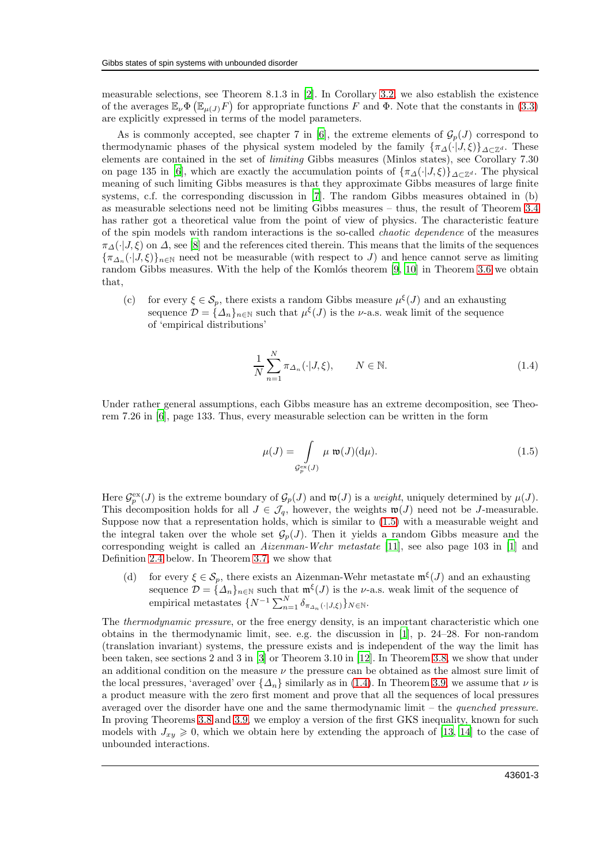measurable selections, see Theorem 8.1.3 in [\[2](#page-10-1)]. In Corollary [3.2,](#page-6-1) we also establish the existence of the averages  $\mathbb{E}_{\nu}\Phi(\mathbb{E}_{\mu(J)}F)$  for appropriate functions F and  $\Phi$ . Note that the constants in [\(3.3\)](#page-6-2) are explicitly expressed in terms of the model parameters.

As is commonly accepted, see chapter 7 in [\[6\]](#page-10-5), the extreme elements of  $\mathcal{G}_n(J)$  correspond to thermodynamic phases of the physical system modeled by the family  ${\lbrace \pi_{\Delta}(\cdot|J,\xi) \rbrace}_{\Delta \subset \mathbb{Z}^d}$ . These elements are contained in the set of limiting Gibbs measures (Minlos states), see Corollary 7.30 on page 135 in [\[6](#page-10-5)], which are exactly the accumulation points of  $\{\pi_{\Delta}(\cdot|J,\xi)\}_{\Delta\subset\mathbb{Z}^d}$ . The physical meaning of such limiting Gibbs measures is that they approximate Gibbs measures of large finite systems, c.f. the corresponding discussion in [\[7](#page-10-6)]. The random Gibbs measures obtained in (b) as measurable selections need not be limiting Gibbs measures – thus, the result of Theorem [3.4](#page-7-0) has rather got a theoretical value from the point of view of physics. The characteristic feature of the spin models with random interactions is the so-called chaotic dependence of the measures  $\pi_{\Delta}(\cdot|J,\xi)$  on  $\Delta$ , see [\[8\]](#page-10-7) and the references cited therein. This means that the limits of the sequences  ${\lbrace \pi_{\Delta_n}(\cdot|J,\xi) \rbrace_{n\in\mathbb{N}}}$  need not be measurable (with respect to J) and hence cannot serve as limiting random Gibbs measures. With the help of the Komlós theorem  $[9, 10]$  $[9, 10]$  in Theorem [3.6](#page-7-1) we obtain that,

(c) for every  $\xi \in \mathcal{S}_p$ , there exists a random Gibbs measure  $\mu^{\xi}(J)$  and an exhausting sequence  $\mathcal{D} = {\{\Delta_n\}}_{n \in \mathbb{N}}$  such that  $\mu^{\xi}(J)$  is the *v*-a.s. weak limit of the sequence of 'empirical distributions'

<span id="page-2-1"></span>
$$
\frac{1}{N} \sum_{n=1}^{N} \pi_{\Delta_n}(\cdot | J, \xi), \qquad N \in \mathbb{N}.
$$
\n(1.4)

Under rather general assumptions, each Gibbs measure has an extreme decomposition, see Theorem 7.26 in [\[6\]](#page-10-5), page 133. Thus, every measurable selection can be written in the form

<span id="page-2-0"></span>
$$
\mu(J) = \int\limits_{\mathcal{G}_{p}^{\text{ex}}(J)} \mu \ \mathfrak{w}(J)(\mathrm{d}\mu). \tag{1.5}
$$

Here  $\mathcal{G}_p^{\text{ex}}(J)$  is the extreme boundary of  $\mathcal{G}_p(J)$  and  $\mathfrak{w}(J)$  is a *weight*, uniquely determined by  $\mu(J)$ . This decomposition holds for all  $J \in \mathcal{J}_q$ , however, the weights  $\mathfrak{w}(J)$  need not be J-measurable. Suppose now that a representation holds, which is similar to [\(1.5\)](#page-2-0) with a measurable weight and the integral taken over the whole set  $\mathcal{G}_p(J)$ . Then it yields a random Gibbs measure and the corresponding weight is called an Aizenman-Wehr metastate [\[11\]](#page-10-10), see also page 103 in [\[1\]](#page-10-0) and Definition [2.4](#page-6-3) below. In Theorem [3.7,](#page-7-2) we show that

(d) for every  $\xi \in \mathcal{S}_p$ , there exists an Aizenman-Wehr metastate  $\mathfrak{m}^{\xi}(J)$  and an exhausting sequence  $\mathcal{D} = {\{\Delta_n\}}_{n\in\mathbb{N}}$  such that  $\mathfrak{m}^{\xi}(J)$  is the *v*-a.s. weak limit of the sequence of empirical metastates  $\{N^{-1}\sum_{n=1}^{N} \delta_{\pi_{\Delta_n}(\cdot | J, \xi)}\}_{N \in \mathbb{N}}$ .

The thermodynamic pressure, or the free energy density, is an important characteristic which one obtains in the thermodynamic limit, see. e.g. the discussion in [\[1](#page-10-0)], p. 24–28. For non-random (translation invariant) systems, the pressure exists and is independent of the way the limit has been taken, see sections 2 and 3 in [\[3](#page-10-2)] or Theorem 3.10 in [\[12](#page-10-11)]. In Theorem [3.8,](#page-8-0) we show that under an additional condition on the measure  $\nu$  the pressure can be obtained as the almost sure limit of the local pressures, 'averaged' over  $\{\Delta_n\}$  similarly as in [\(1.4\)](#page-2-1). In Theorem [3.9,](#page-8-1) we assume that  $\nu$  is a product measure with the zero first moment and prove that all the sequences of local pressures averaged over the disorder have one and the same thermodynamic limit – the quenched pressure. In proving Theorems [3.8](#page-8-0) and [3.9,](#page-8-1) we employ a version of the first GKS inequality, known for such models with  $J_{xy} \geq 0$ , which we obtain here by extending the approach of [\[13](#page-10-12), [14\]](#page-10-13) to the case of unbounded interactions.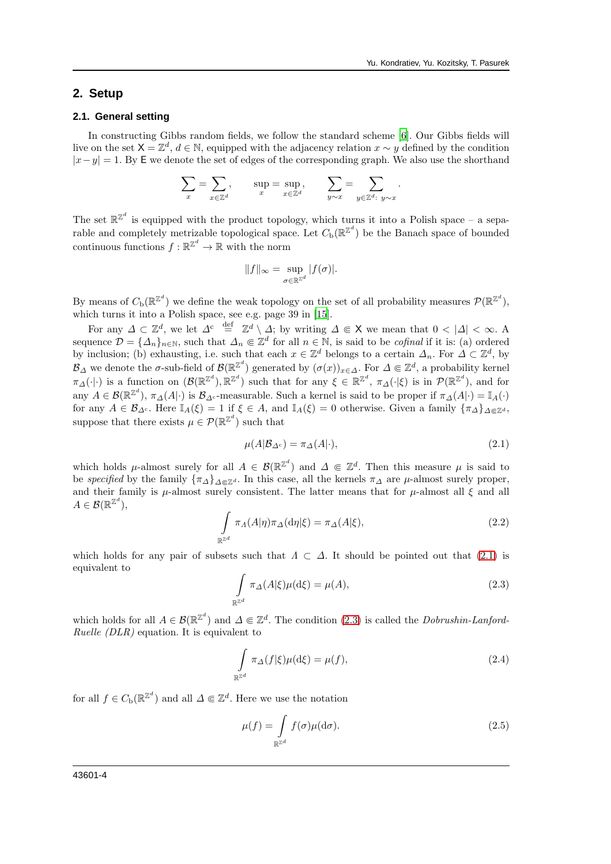#### **2. Setup**

#### **2.1. General setting**

In constructing Gibbs random fields, we follow the standard scheme [\[6\]](#page-10-5). Our Gibbs fields will live on the set  $\mathsf{X} = \mathbb{Z}^d, d \in \mathbb{N}$ , equipped with the adjacency relation  $x \sim y$  defined by the condition  $|x-y|=1$ . By E we denote the set of edges of the corresponding graph. We also use the shorthand

$$
\sum_{x} = \sum_{x \in \mathbb{Z}^d}, \qquad \sup_{x} = \sup_{x \in \mathbb{Z}^d}, \qquad \sum_{y \sim x} = \sum_{y \in \mathbb{Z}^d: y \sim x}.
$$

The set  $\mathbb{R}^{\mathbb{Z}^d}$  is equipped with the product topology, which turns it into a Polish space – a separable and completely metrizable topological space. Let  $C_{\text{b}}(\mathbb{R}^{\mathbb{Z}^d})$  be the Banach space of bounded continuous functions  $f : \mathbb{R}^{\mathbb{Z}^d} \to \mathbb{R}$  with the norm

$$
||f||_{\infty} = \sup_{\sigma \in \mathbb{R}^{\mathbb{Z}^d}} |f(\sigma)|.
$$

By means of  $C_{\rm b}(\mathbb{R}^{\mathbb{Z}^d})$  we define the weak topology on the set of all probability measures  $\mathcal{P}(\mathbb{R}^{\mathbb{Z}^d})$ , which turns it into a Polish space, see e.g. page 39 in [\[15](#page-10-14)].

For any  $\Delta \subset \mathbb{Z}^d$ , we let  $\Delta^c \stackrel{\text{def}}{=} \mathbb{Z}^d \setminus \Delta$ ; by writing  $\Delta \Subset \mathsf{X}$  we mean that  $0 < |\Delta| < \infty$ . A sequence  $\mathcal{D} = {\{\Delta_n\}_n \in \mathbb{N}}$ , such that  $\Delta_n \in \mathbb{Z}^d$  for all  $n \in \mathbb{N}$ , is said to be *cofinal* if it is: (a) ordered by inclusion; (b) exhausting, i.e. such that each  $x \in \mathbb{Z}^d$  belongs to a certain  $\Delta_n$ . For  $\Delta \subset \mathbb{Z}^d$ , by  $\mathcal{B}_\Delta$  we denote the  $\sigma$ -sub-field of  $\mathcal{B}(\mathbb{R}^{\mathbb{Z}^d})$  generated by  $(\sigma(x))_{x\in\Delta}$ . For  $\Delta\Subset\mathbb{Z}^d$ , a probability kernel  $\pi_{\Delta}(\cdot|\cdot)$  is a function on  $(\mathcal{B}(\mathbb{R}^{\mathbb{Z}^d}), \mathbb{R}^{\mathbb{Z}^d})$  such that for any  $\xi \in \mathbb{R}^{\mathbb{Z}^d}, \pi_{\Delta}(\cdot|\xi)$  is in  $\mathcal{P}(\mathbb{R}^{\mathbb{Z}^d})$ , and for any  $A \in \mathcal{B}(\mathbb{R}^{\mathbb{Z}^d})$ ,  $\pi_{\Delta}(A|\cdot)$  is  $\mathcal{B}_{\Delta^c}$ -measurable. Such a kernel is said to be proper if  $\pi_{\Delta}(A|\cdot) = \mathbb{I}_A(\cdot)$ for any  $A \in \mathcal{B}_{\Delta^c}$ . Here  $\mathbb{I}_A(\xi) = 1$  if  $\xi \in A$ , and  $\mathbb{I}_A(\xi) = 0$  otherwise. Given a family  $\{\pi_{\Delta}\}_{{\Delta} \in \mathbb{Z}^d}$ , suppose that there exists  $\mu \in \mathcal{P}(\mathbb{R}^{\mathbb{Z}^d})$  such that

<span id="page-3-0"></span>
$$
\mu(A|\mathcal{B}_{\Delta^c}) = \pi_{\Delta}(A|\cdot),\tag{2.1}
$$

which holds  $\mu$ -almost surely for all  $A \in \mathcal{B}(\mathbb{R}^{\mathbb{Z}^d})$  and  $\Delta \in \mathbb{Z}^d$ . Then this measure  $\mu$  is said to be specified by the family  $\{\pi_{\Delta}\}_{{\Delta}\in\mathbb{Z}^d}$ . In this case, all the kernels  $\pi_{\Delta}$  are  $\mu$ -almost surely proper, and their family is  $\mu$ -almost surely consistent. The latter means that for  $\mu$ -almost all  $\xi$  and all  $A\in\mathcal{B}(\mathbb{R}^{\mathbb{Z}^d}),$ 

$$
\int_{\mathbb{R}^{\mathbb{Z}^d}} \pi_A(A|\eta) \pi_\Delta(\mathrm{d}\eta|\xi) = \pi_\Delta(A|\xi),\tag{2.2}
$$

which holds for any pair of subsets such that  $\Lambda \subset \Lambda$ . It should be pointed out that [\(2.1\)](#page-3-0) is equivalent to

<span id="page-3-1"></span>
$$
\int_{\mathbb{R}^{\mathbb{Z}^d}} \pi_\Delta(A|\xi) \mu(\mathrm{d}\xi) = \mu(A),\tag{2.3}
$$

which holds for all  $A \in \mathcal{B}(\mathbb{R}^{\mathbb{Z}^d})$  and  $\Delta \in \mathbb{Z}^d$ . The condition [\(2.3\)](#page-3-1) is called the *Dobrushin-Lanford*-Ruelle (DLR) equation. It is equivalent to

$$
\int_{\mathbb{R}^{\mathbb{Z}^d}} \pi_{\Delta}(f|\xi)\mu(\mathrm{d}\xi) = \mu(f),\tag{2.4}
$$

for all  $f \in C_{\rm b}(\mathbb{R}^{\mathbb{Z}^d})$  and all  $\Delta \in \mathbb{Z}^d$ . Here we use the notation

$$
\mu(f) = \int\limits_{\mathbb{R}^{\mathbb{Z}^d}} f(\sigma)\mu(\mathrm{d}\sigma). \tag{2.5}
$$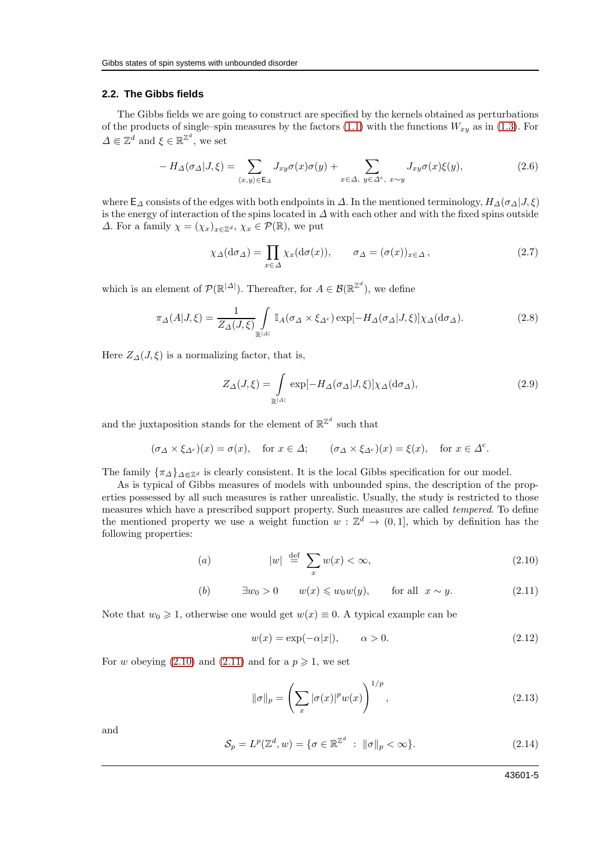#### **2.2. The Gibbs fields**

The Gibbs fields we are going to construct are specified by the kernels obtained as perturbations of the products of single–spin measures by the factors  $(1.1)$  with the functions  $W_{xy}$  as in  $(1.3)$ . For  $\Delta \in \mathbb{Z}^d$  and  $\xi \in \mathbb{R}^{\mathbb{Z}^d}$ , we set

<span id="page-4-2"></span>
$$
-H_{\Delta}(\sigma_{\Delta}|J,\xi) = \sum_{\langle x,y\rangle \in \mathsf{E}_{\Delta}} J_{xy}\sigma(x)\sigma(y) + \sum_{x \in \Delta, y \in \Delta^c, x \sim y} J_{xy}\sigma(x)\xi(y),\tag{2.6}
$$

where  $\mathsf{E}_{\Delta}$  consists of the edges with both endpoints in  $\Delta$ . In the mentioned terminology,  $H_{\Delta}(\sigma_{\Delta}|J,\xi)$ is the energy of interaction of the spins located in ∆ with each other and with the fixed spins outside  $\Delta$ . For a family  $\chi = (\chi_x)_{x \in \mathbb{Z}^d}$ ,  $\chi_x \in \mathcal{P}(\mathbb{R})$ , we put

$$
\chi_{\Delta}(\mathrm{d}\sigma_{\Delta}) = \prod_{x \in \Delta} \chi_x(\mathrm{d}\sigma(x)), \qquad \sigma_{\Delta} = (\sigma(x))_{x \in \Delta}, \tag{2.7}
$$

which is an element of  $\mathcal{P}(\mathbb{R}^{|\Delta|})$ . Thereafter, for  $A \in \mathcal{B}(\mathbb{R}^{\mathbb{Z}^d})$ , we define

<span id="page-4-3"></span>
$$
\pi_{\Delta}(A|J,\xi) = \frac{1}{Z_{\Delta}(J,\xi)} \int_{\mathbb{R}^{|A|}} \mathbb{I}_A(\sigma_{\Delta} \times \xi_{\Delta^c}) \exp[-H_{\Delta}(\sigma_{\Delta}|J,\xi)] \chi_{\Delta}(\mathrm{d}\sigma_{\Delta}). \tag{2.8}
$$

Here  $Z_{\Delta}(J,\xi)$  is a normalizing factor, that is,

<span id="page-4-4"></span>
$$
Z_{\Delta}(J,\xi) = \int_{\mathbb{R}^{|\Delta|}} \exp[-H_{\Delta}(\sigma_{\Delta}|J,\xi)] \chi_{\Delta}(\mathrm{d}\sigma_{\Delta}), \tag{2.9}
$$

and the juxtaposition stands for the element of  $\mathbb{R}^{\mathbb{Z}^d}$  such that

$$
(\sigma_{\Delta} \times \xi_{\Delta^c})(x) = \sigma(x)
$$
, for  $x \in \Delta$ ;  $(\sigma_{\Delta} \times \xi_{\Delta^c})(x) = \xi(x)$ , for  $x \in \Delta^c$ .

The family  $\{\pi_{\Delta}\}_{{\Delta}\Subset {\mathbb{Z}}^d}$  is clearly consistent. It is the local Gibbs specification for our model.

As is typical of Gibbs measures of models with unbounded spins, the description of the properties possessed by all such measures is rather unrealistic. Usually, the study is restricted to those measures which have a prescribed support property. Such measures are called tempered. To define the mentioned property we use a weight function  $w: \mathbb{Z}^d \to (0,1]$ , which by definition has the following properties:

<span id="page-4-0"></span>
$$
(a) \t|w| \stackrel{\text{def}}{=} \sum_{x} w(x) < \infty,\t(2.10)
$$

(b)  $\exists w_0 > 0 \quad w(x) \leq w_0w(y)$ , for all  $x \sim y$ . (2.11)

Note that  $w_0 \geq 1$ , otherwise one would get  $w(x) \equiv 0$ . A typical example can be

$$
w(x) = \exp(-\alpha|x|), \qquad \alpha > 0. \tag{2.12}
$$

For w obeying [\(2.10\)](#page-4-0) and [\(2.11\)](#page-4-0) and for a  $p \ge 1$ , we set

$$
\|\sigma\|_{p} = \left(\sum_{x} |\sigma(x)|^{p} w(x)\right)^{1/p},\tag{2.13}
$$

and

<span id="page-4-1"></span>
$$
\mathcal{S}_p = L^p(\mathbb{Z}^d, w) = \{ \sigma \in \mathbb{R}^{\mathbb{Z}^d} : \|\sigma\|_p < \infty \}. \tag{2.14}
$$

43601-5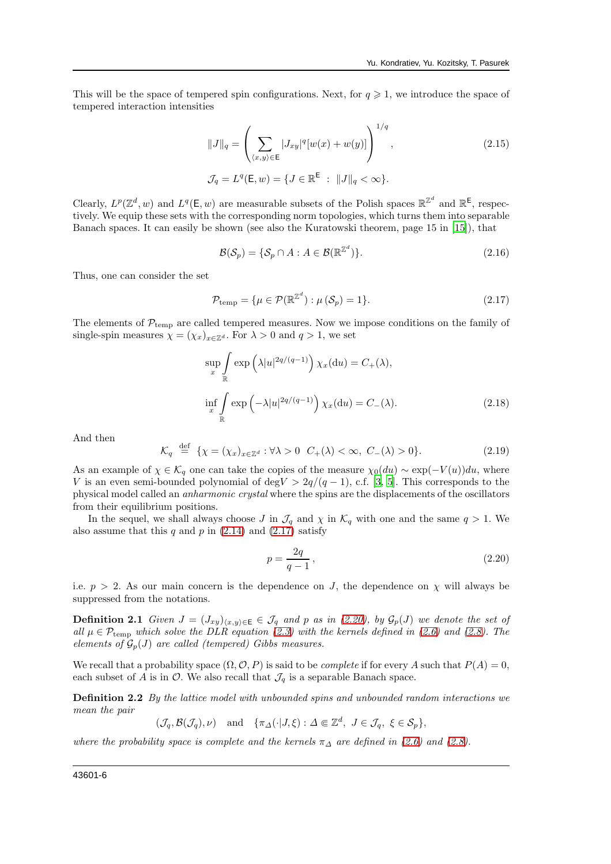This will be the space of tempered spin configurations. Next, for  $q \geq 1$ , we introduce the space of tempered interaction intensities

<span id="page-5-2"></span>
$$
||J||_q = \left(\sum_{\langle x,y\rangle \in \mathsf{E}} |J_{xy}|^q [w(x) + w(y)]\right)^{1/q},
$$
\n
$$
\mathcal{J}_q = L^q(\mathsf{E}, w) = \{J \in \mathbb{R}^{\mathsf{E}} : ||J||_q < \infty\}.
$$
\n(2.15)

Clearly,  $L^p(\mathbb{Z}^d, w)$  and  $L^q(\mathsf{E}, w)$  are measurable subsets of the Polish spaces  $\mathbb{R}^{\mathbb{Z}^d}$  and  $\mathbb{R}^{\mathsf{E}}$ , respectively. We equip these sets with the corresponding norm topologies, which turns them into separable Banach spaces. It can easily be shown (see also the Kuratowski theorem, page 15 in [\[15\]](#page-10-14)), that

$$
\mathcal{B}(\mathcal{S}_p) = \{ \mathcal{S}_p \cap A : A \in \mathcal{B}(\mathbb{R}^{\mathbb{Z}^d}) \}. \tag{2.16}
$$

Thus, one can consider the set

<span id="page-5-0"></span>
$$
\mathcal{P}_{\text{temp}} = \{ \mu \in \mathcal{P}(\mathbb{R}^{\mathbb{Z}^d}) : \mu(\mathcal{S}_p) = 1 \}. \tag{2.17}
$$

The elements of  $\mathcal{P}_{temp}$  are called tempered measures. Now we impose conditions on the family of single-spin measures  $\chi = (\chi_x)_{x \in \mathbb{Z}^d}$ . For  $\lambda > 0$  and  $q > 1$ , we set

$$
\sup_{x} \int_{\mathbb{R}} \exp\left(\lambda |u|^{2q/(q-1)}\right) \chi_{x}(\mathrm{d}u) = C_{+}(\lambda),
$$
  

$$
\inf_{x} \int_{\mathbb{R}} \exp\left(-\lambda |u|^{2q/(q-1)}\right) \chi_{x}(\mathrm{d}u) = C_{-}(\lambda).
$$
 (2.18)

And then

$$
\mathcal{K}_q \stackrel{\text{def}}{=} \{ \chi = (\chi_x)_{x \in \mathbb{Z}^d} : \forall \lambda > 0 \ \ C_+(\lambda) < \infty, \ C_-(\lambda) > 0 \}. \tag{2.19}
$$

As an example of  $\chi \in \mathcal{K}_q$  one can take the copies of the measure  $\chi_0(du) \sim \exp(-V(u))du$ , where V is an even semi-bounded polynomial of deg $V > 2q/(q-1)$ , c.f. [\[3,](#page-10-2) [5](#page-10-4)]. This corresponds to the physical model called an anharmonic crystal where the spins are the displacements of the oscillators from their equilibrium positions.

In the sequel, we shall always choose J in  $\mathcal{J}_q$  and  $\chi$  in  $\mathcal{K}_q$  with one and the same  $q > 1$ . We also assume that this  $q$  and  $p$  in  $(2.14)$  and  $(2.17)$  satisfy

<span id="page-5-3"></span><span id="page-5-1"></span>
$$
p = \frac{2q}{q-1},\tag{2.20}
$$

i.e.  $p > 2$ . As our main concern is the dependence on J, the dependence on  $\chi$  will always be suppressed from the notations.

**Definition 2.1** Given  $J = (J_{xy})_{(x,y)\in\mathsf{E}} \in \mathcal{J}_q$  and p as in [\(2.20\)](#page-5-1), by  $\mathcal{G}_p(J)$  we denote the set of all  $\mu \in \mathcal{P}_{temp}$  which solve the DLR equation [\(2.3\)](#page-3-1) with the kernels defined in [\(2.6\)](#page-4-2) and [\(2.8\)](#page-4-3). The elements of  $\mathcal{G}_p(J)$  are called (tempered) Gibbs measures.

We recall that a probability space  $(\Omega, \mathcal{O}, P)$  is said to be *complete* if for every A such that  $P(A) = 0$ , each subset of A is in  $\mathcal{O}$ . We also recall that  $\mathcal{J}_q$  is a separable Banach space.

**Definition 2.2** By the lattice model with unbounded spins and unbounded random interactions we mean the pair

 $(\mathcal{J}_q, \mathcal{B}(\mathcal{J}_q), \nu)$  and  $\{\pi_{\Delta}(\cdot | J, \xi) : \Delta \in \mathbb{Z}^d, J \in \mathcal{J}_q, \xi \in \mathcal{S}_p\},\$ 

<span id="page-5-4"></span>where the probability space is complete and the kernels  $\pi_{\Delta}$  are defined in [\(2.6\)](#page-4-2) and [\(2.8\)](#page-4-3).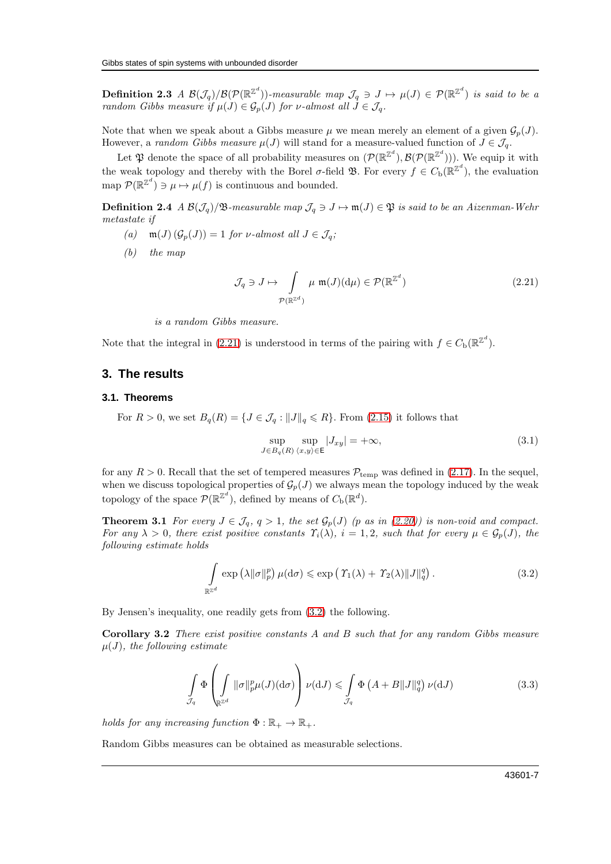**Definition 2.3** A  $\mathcal{B}(\mathcal{J}_q)/\mathcal{B}(\mathcal{P}(\mathbb{R}^{\mathbb{Z}^d}))$ -measurable map  $\mathcal{J}_q \ni J \mapsto \mu(J) \in \mathcal{P}(\mathbb{R}^{\mathbb{Z}^d})$  is said to be a random Gibbs measure if  $\mu(J) \in \mathcal{G}_p(J)$  for v-almost all  $J \in \mathcal{J}_q$ .

Note that when we speak about a Gibbs measure  $\mu$  we mean merely an element of a given  $\mathcal{G}_p(J)$ . However, a random Gibbs measure  $\mu(J)$  will stand for a measure-valued function of  $J \in \mathcal{J}_q$ .

Let  $\mathfrak P$  denote the space of all probability measures on  $(\mathcal P(\mathbb{R}^{\mathbb{Z}^d}), \mathcal B(\mathcal P(\mathbb{R}^{\mathbb{Z}^d})))$ . We equip it with the weak topology and thereby with the Borel  $\sigma$ -field  $\mathfrak{B}$ . For every  $f \in C_{\rm b}(\mathbb{R}^{\mathbb{Z}^d})$ , the evaluation map  $\mathcal{P}(\mathbb{R}^{\mathbb{Z}^d}) \ni \mu \mapsto \mu(f)$  is continuous and bounded.

**Definition 2.4** A  $\mathcal{B}(\mathcal{J}_q)/\mathfrak{B}$ -measurable map  $\mathcal{J}_q \ni J \mapsto \mathfrak{m}(J) \in \mathfrak{P}$  is said to be an Aizenman-Wehr metastate if

- (a)  $\mathfrak{m}(J)$   $(\mathcal{G}_p(J)) = 1$  for *v*-almost all  $J \in \mathcal{J}_q$ ;
- (b) the map

<span id="page-6-4"></span><span id="page-6-3"></span>
$$
\mathcal{J}_q \ni J \mapsto \int_{\mathcal{P}(\mathbb{R}^{\mathbb{Z}^d})} \mu \ \mathfrak{m}(J)(\mathrm{d}\mu) \in \mathcal{P}(\mathbb{R}^{\mathbb{Z}^d}) \tag{2.21}
$$

is a random Gibbs measure.

Note that the integral in [\(2.21\)](#page-6-4) is understood in terms of the pairing with  $f \in C_{\rm b}(\mathbb{R}^{\mathbb{Z}^d})$ .

#### **3. The results**

#### **3.1. Theorems**

For  $R > 0$ , we set  $B_q(R) = \{J \in \mathcal{J}_q : ||J||_q \leq R\}$ . From [\(2.15\)](#page-5-2) it follows that

<span id="page-6-6"></span><span id="page-6-0"></span>
$$
\sup_{J \in B_q(R)} \sup_{\langle x, y \rangle \in \mathsf{E}} |J_{xy}| = +\infty, \tag{3.1}
$$

for any  $R > 0$ . Recall that the set of tempered measures  $P_{temp}$  was defined in [\(2.17\)](#page-5-0). In the sequel, when we discuss topological properties of  $\mathcal{G}_p(J)$  we always mean the topology induced by the weak topology of the space  $\mathcal{P}(\mathbb{R}^{\mathbb{Z}^d})$ , defined by means of  $C_{\text{b}}(\mathbb{R}^d)$ .

**Theorem 3.1** For every  $J \in \mathcal{J}_q$ ,  $q > 1$ , the set  $\mathcal{G}_p(J)$  (p as in [\(2.20\)](#page-5-1)) is non-void and compact. For any  $\lambda > 0$ , there exist positive constants  $\Upsilon_i(\lambda)$ ,  $i = 1, 2$ , such that for every  $\mu \in \mathcal{G}_p(J)$ , the following estimate holds

<span id="page-6-5"></span><span id="page-6-1"></span>
$$
\int_{\mathbb{R}^{\mathbb{Z}^d}} \exp\left(\lambda \|\sigma\|_p^p\right) \mu(\mathrm{d}\sigma) \leqslant \exp\left(\left|\mathcal{T}_1(\lambda) + \mathcal{T}_2(\lambda)\right| \|\mathcal{J}\|_q^q\right). \tag{3.2}
$$

By Jensen's inequality, one readily gets from [\(3.2\)](#page-6-5) the following.

Corollary 3.2 There exist positive constants A and B such that for any random Gibbs measure  $\mu(J)$ , the following estimate

<span id="page-6-2"></span>
$$
\int_{\mathcal{I}_q} \Phi\left(\int_{\mathbb{R}^{\mathbb{Z}^d}} \|\sigma\|_{p}^p \mu(J)(\mathrm{d}\sigma)\right) \nu(\mathrm{d}J) \leqslant \int_{\mathcal{I}_q} \Phi\left(A + B\|J\|_q^q\right) \nu(\mathrm{d}J) \tag{3.3}
$$

holds for any increasing function  $\Phi : \mathbb{R}_+ \to \mathbb{R}_+$ .

Random Gibbs measures can be obtained as measurable selections.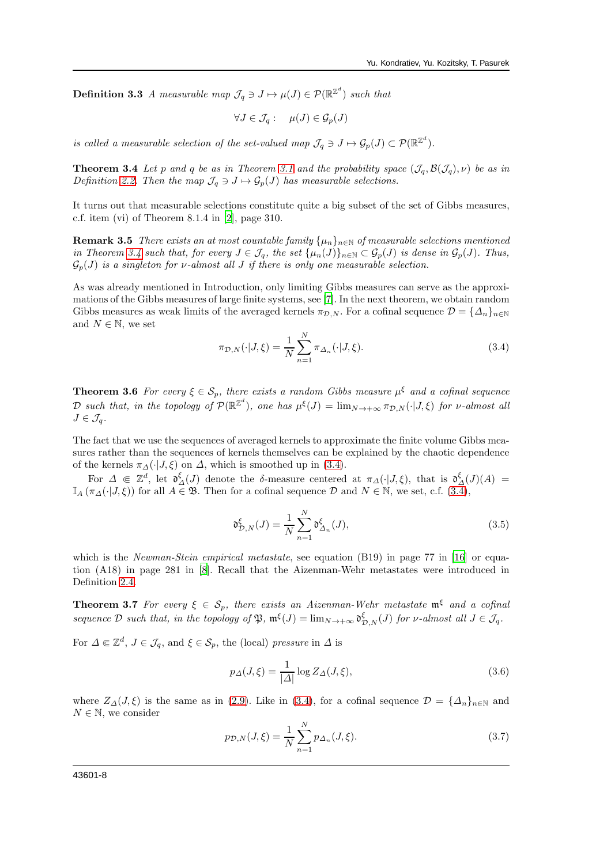**Definition 3.3** A measurable map  $\mathcal{J}_q \ni J \mapsto \mu(J) \in \mathcal{P}(\mathbb{R}^{\mathbb{Z}^d})$  such that

$$
\forall J \in \mathcal{J}_q: \quad \mu(J) \in \mathcal{G}_p(J)
$$

<span id="page-7-0"></span>is called a measurable selection of the set-valued map  $\mathcal{J}_q \ni J \mapsto \mathcal{G}_p(J) \subset \mathcal{P}(\mathbb{R}^{\mathbb{Z}^d})$ .

**Theorem 3.4** Let p and q be as in Theorem [3.1](#page-6-0) and the probability space  $(\mathcal{J}_q, \mathcal{B}(\mathcal{J}_q), \nu)$  be as in Definition [2.2.](#page-5-3) Then the map  $\mathcal{J}_q \ni J \mapsto \mathcal{G}_p(J)$  has measurable selections.

It turns out that measurable selections constitute quite a big subset of the set of Gibbs measures, c.f. item (vi) of Theorem 8.1.4 in [\[2\]](#page-10-1), page 310.

**Remark 3.5** There exists an at most countable family  $\{\mu_n\}_{n\in\mathbb{N}}$  of measurable selections mentioned in Theorem [3.4](#page-7-0) such that, for every  $J \in \mathcal{J}_q$ , the set  $\{\mu_n(J)\}_{n \in \mathbb{N}} \subset \mathcal{G}_p(J)$  is dense in  $\mathcal{G}_p(J)$ . Thus,  $\mathcal{G}_p(J)$  is a singleton for v-almost all J if there is only one measurable selection.

As was already mentioned in Introduction, only limiting Gibbs measures can serve as the approximations of the Gibbs measures of large finite systems, see [\[7\]](#page-10-6). In the next theorem, we obtain random Gibbs measures as weak limits of the averaged kernels  $\pi_{\mathcal{D},N}$ . For a cofinal sequence  $\mathcal{D} = {\{\Delta_n\}}_{n\in\mathbb{N}}$ and  $N \in \mathbb{N}$ , we set

<span id="page-7-3"></span>
$$
\pi_{\mathcal{D},N}(\cdot|J,\xi) = \frac{1}{N} \sum_{n=1}^{N} \pi_{\Delta_n}(\cdot|J,\xi). \tag{3.4}
$$

<span id="page-7-1"></span>**Theorem 3.6** For every  $\xi \in S_p$ , there exists a random Gibbs measure  $\mu^{\xi}$  and a cofinal sequence D such that, in the topology of  $\mathcal{P}(\mathbb{R}^{\mathbb{Z}^d})$ , one has  $\mu^{\xi}(J) = \lim_{N \to +\infty} \pi_{\mathcal{D},N}(\cdot | J, \xi)$  for v-almost all  $J \in \mathcal{J}_q$ .

The fact that we use the sequences of averaged kernels to approximate the finite volume Gibbs measures rather than the sequences of kernels themselves can be explained by the chaotic dependence of the kernels  $\pi_{\Delta}(\cdot|J,\xi)$  on  $\Delta$ , which is smoothed up in [\(3.4\)](#page-7-3).

For  $\Delta \in \mathbb{Z}^d$ , let  $\mathfrak{d}^{\xi}_{\Delta}(J)$  denote the δ-measure centered at  $\pi_{\Delta}(\cdot|J,\xi)$ , that is  $\mathfrak{d}^{\xi}_{\Delta}(J)(A)$  $\mathbb{I}_A(\pi_{\Delta}(\cdot|J,\xi))$  for all  $A \in \mathfrak{B}$ . Then for a cofinal sequence  $\mathcal D$  and  $N \in \mathbb{N}$ , we set, c.f.  $(3.\overline{4})$ ,

$$
\mathfrak{d}_{\mathcal{D},N}^{\xi}(J) = \frac{1}{N} \sum_{n=1}^{N} \mathfrak{d}_{\Delta_n}^{\xi}(J),\tag{3.5}
$$

which is the Newman-Stein empirical metastate, see equation (B19) in page 77 in [\[16\]](#page-10-15) or equation (A18) in page 281 in [\[8\]](#page-10-7). Recall that the Aizenman-Wehr metastates were introduced in Definition [2.4.](#page-6-3)

<span id="page-7-2"></span>**Theorem 3.7** For every  $\xi \in S_p$ , there exists an Aizenman-Wehr metastate  $\mathfrak{m}^{\xi}$  and a cofinal sequence D such that, in the topology of  $\mathfrak{P}, \mathfrak{m}^{\xi}(J) = \lim_{N \to +\infty} \mathfrak{d}_{\mathcal{D},N}^{\xi}(J)$  for  $\nu$ -almost all  $J \in \mathcal{J}_q$ .

For  $\Delta \in \mathbb{Z}^d$ ,  $J \in \mathcal{J}_q$ , and  $\xi \in \mathcal{S}_p$ , the (local) pressure in  $\Delta$  is

$$
p_{\Delta}(J,\xi) = \frac{1}{|\Delta|} \log Z_{\Delta}(J,\xi),\tag{3.6}
$$

where  $Z_{\Delta}(J,\xi)$  is the same as in [\(2.9\)](#page-4-4). Like in [\(3.4\)](#page-7-3), for a cofinal sequence  $\mathcal{D} = {\{\Delta_n\}}_{n\in\mathbb{N}}$  and  $N \in \mathbb{N}$ , we consider

<span id="page-7-4"></span>
$$
p_{\mathcal{D},N}(J,\xi) = \frac{1}{N} \sum_{n=1}^{N} p_{\Delta_n}(J,\xi).
$$
 (3.7)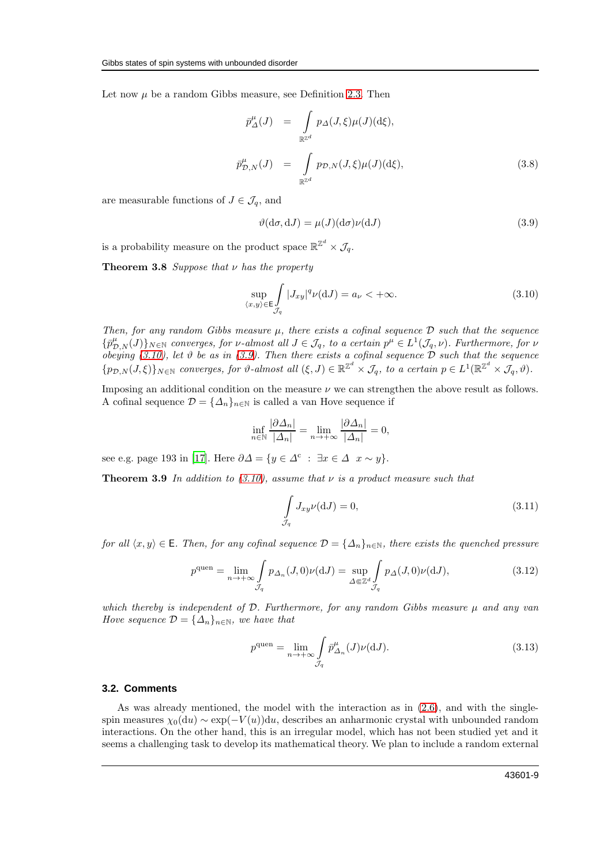Let now  $\mu$  be a random Gibbs measure, see Definition [2.3.](#page-5-4) Then

$$
\bar{p}^{\mu}_{\Delta}(J) = \int_{\mathbb{R}^{\mathbb{Z}^d}} p_{\Delta}(J,\xi)\mu(J)(d\xi),
$$
\n
$$
\bar{p}^{\mu}_{\mathcal{D},N}(J) = \int_{\mathbb{R}^{\mathbb{Z}^d}} p_{\mathcal{D},N}(J,\xi)\mu(J)(d\xi),
$$
\n(3.8)

are measurable functions of  $J \in \mathcal{J}_q$ , and

<span id="page-8-3"></span><span id="page-8-0"></span>
$$
\vartheta(\mathrm{d}\sigma, \mathrm{d}J) = \mu(J)(\mathrm{d}\sigma)\nu(\mathrm{d}J) \tag{3.9}
$$

is a probability measure on the product space  $\mathbb{R}^{\mathbb{Z}^d} \times \mathcal{J}_q$ .

**Theorem 3.8** Suppose that  $\nu$  has the property

<span id="page-8-2"></span>
$$
\sup_{\langle x,y\rangle \in \mathsf{E}} \int\limits_{\mathcal{J}_q} |J_{xy}|^q \nu(\mathrm{d}J) = a_\nu < +\infty. \tag{3.10}
$$

Then, for any random Gibbs measure  $\mu$ , there exists a cofinal sequence  $\mathcal D$  such that the sequence  $\{\bar{p}^{\mu}_{\mathcal{D},N}(J)\}_{N\in\mathbb{N}}$  converges, for v-almost all  $J\in\mathcal{J}_q$ , to a certain  $p^{\mu}\in L^1(\mathcal{J}_q,\nu)$ . Furthermore, for v obeying [\(3.10\)](#page-8-2), let  $\vartheta$  be as in [\(3.9\)](#page-8-3). Then there exists a cofinal sequence  $\mathcal D$  such that the sequence  $\{p_{\mathcal{D},N}(J,\xi)\}_{N\in\mathbb{N}}$  converges, for  $\vartheta$ -almost all  $(\xi, J) \in \mathbb{R}^{\mathbb{Z}^d} \times \mathcal{J}_q$ , to a certain  $p \in L^1(\mathbb{R}^{\mathbb{Z}^d} \times \mathcal{J}_q, \vartheta)$ .

Imposing an additional condition on the measure  $\nu$  we can strengthen the above result as follows. A cofinal sequence  $\mathcal{D} = {\{\Delta_n\}}_{n \in \mathbb{N}}$  is called a van Hove sequence if

$$
\inf_{n \in \mathbb{N}} \frac{|\partial \Delta_n|}{|\Delta_n|} = \lim_{n \to +\infty} \frac{|\partial \Delta_n|}{|\Delta_n|} = 0,
$$

see e.g. page 193 in [\[17\]](#page-10-16). Here  $\partial \Delta = \{ y \in \Delta^c : \exists x \in \Delta \mid x \sim y \}.$ 

**Theorem 3.9** In addition to [\(3.10\)](#page-8-2), assume that  $\nu$  is a product measure such that

<span id="page-8-1"></span>
$$
\int_{\mathcal{I}_q} J_{xy} \nu(\mathrm{d}J) = 0,\tag{3.11}
$$

for all  $\langle x, y \rangle \in \mathsf{E}$ . Then, for any cofinal sequence  $\mathcal{D} = {\{\Delta_n\}}_{n \in \mathbb{N}}$ , there exists the quenched pressure

<span id="page-8-4"></span>
$$
p^{\text{quen}} = \lim_{n \to +\infty} \int_{\mathcal{J}_q} p_{\Delta_n}(J,0)\nu(\mathrm{d}J) = \sup_{\Delta \in \mathbb{Z}^d} \int_{\mathcal{J}_q} p_{\Delta}(J,0)\nu(\mathrm{d}J),\tag{3.12}
$$

which thereby is independent of  $D$ . Furthermore, for any random Gibbs measure  $\mu$  and any van Hove sequence  $\mathcal{D} = {\{\Delta_n\}}_{n \in \mathbb{N}}$ , we have that

$$
p^{\text{quen}} = \lim_{n \to +\infty} \int_{\mathcal{J}_q} \bar{p}^{\mu}_{\Delta_n}(J) \nu(\mathrm{d}J). \tag{3.13}
$$

#### **3.2. Comments**

As was already mentioned, the model with the interaction as in [\(2.6\)](#page-4-2), and with the singlespin measures  $\chi_0(du) \sim \exp(-V(u))du$ , describes an anharmonic crystal with unbounded random interactions. On the other hand, this is an irregular model, which has not been studied yet and it seems a challenging task to develop its mathematical theory. We plan to include a random external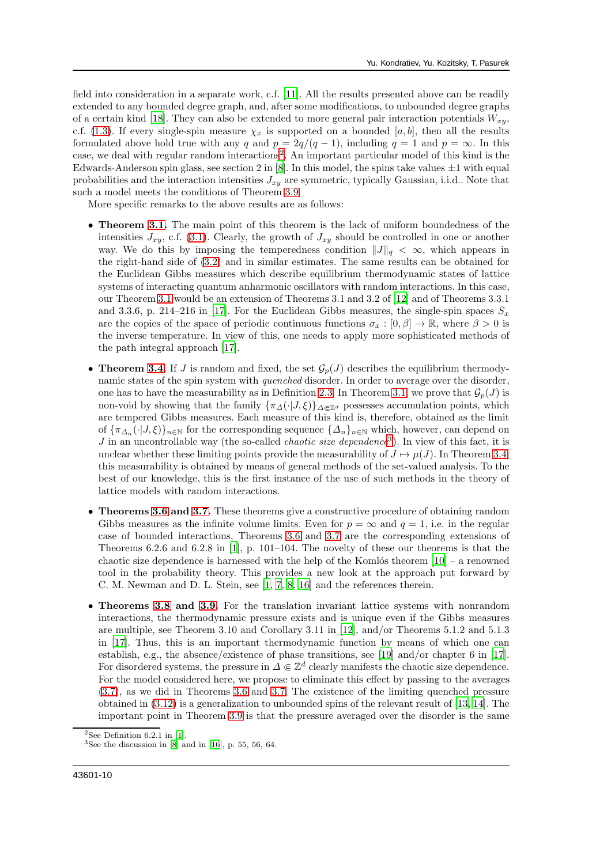field into consideration in a separate work, c.f. [\[11](#page-10-10)]. All the results presented above can be readily extended to any bounded degree graph, and, after some modifications, to unbounded degree graphs of a certain kind [\[18\]](#page-10-17). They can also be extended to more general pair interaction potentials  $W_{xy}$ , c.f. [\(1.3\)](#page-1-2). If every single-spin measure  $\chi_x$  is supported on a bounded [a, b], then all the results formulated above hold true with any q and  $p = 2q/(q-1)$ , including  $q = 1$  and  $p = \infty$ . In this case, we deal with regular random interactions<sup>[2](#page-9-0)</sup>. An important particular model of this kind is the Edwards-Anderson spin glass, see section 2 in  $[8]$ . In this model, the spins take values  $\pm 1$  with equal probabilities and the interaction intensities  $J_{xy}$  are symmetric, typically Gaussian, i.i.d.. Note that such a model meets the conditions of Theorem [3.9.](#page-8-1)

More specific remarks to the above results are as follows:

- Theorem [3.1.](#page-6-0) The main point of this theorem is the lack of uniform boundedness of the intensities  $J_{xy}$ , c.f. [\(3.1\)](#page-6-6). Clearly, the growth of  $J_{xy}$  should be controlled in one or another way. We do this by imposing the temperedness condition  $\|J\|_q < \infty$ , which appears in the right-hand side of [\(3.2\)](#page-6-5) and in similar estimates. The same results can be obtained for the Euclidean Gibbs measures which describe equilibrium thermodynamic states of lattice systems of interacting quantum anharmonic oscillators with random interactions. In this case, our Theorem [3.1](#page-6-0) would be an extension of Theorems 3.1 and 3.2 of [\[12\]](#page-10-11) and of Theorems 3.3.1 and 3.3.6, p. 214–216 in [\[17\]](#page-10-16). For the Euclidean Gibbs measures, the single-spin spaces  $S_x$ are the copies of the space of periodic continuous functions  $\sigma_x : [0, \beta] \to \mathbb{R}$ , where  $\beta > 0$  is the inverse temperature. In view of this, one needs to apply more sophisticated methods of the path integral approach [\[17](#page-10-16)].
- Theorem [3.4.](#page-7-0) If J is random and fixed, the set  $\mathcal{G}_p(J)$  describes the equilibrium thermodynamic states of the spin system with quenched disorder. In order to average over the disorder, one has to have the measurability as in Definition [2.3.](#page-5-4) In Theorem [3.1,](#page-6-0) we prove that  $\mathcal{G}_p(J)$  is non-void by showing that the family  $\{\pi_{\Delta}(\cdot|J,\xi)\}_{\Delta \in \mathbb{Z}^d}$  possesses accumulation points, which are tempered Gibbs measures. Each measure of this kind is, therefore, obtained as the limit of  ${\{\pi_{\Delta_n}(\cdot|J,\xi)\}}_{n\in\mathbb{N}}$  for the corresponding sequence  ${\{\Delta_n\}}_{n\in\mathbb{N}}$  which, however, can depend on J in an uncontrollable way (the so-called *chaotic size dependence*<sup>[3](#page-9-1)</sup>). In view of this fact, it is unclear whether these limiting points provide the measurability of  $J \mapsto \mu(J)$ . In Theorem [3.4,](#page-7-0) this measurability is obtained by means of general methods of the set-valued analysis. To the best of our knowledge, this is the first instance of the use of such methods in the theory of lattice models with random interactions.
- Theorems [3.6](#page-7-1) and [3.7.](#page-7-2) These theorems give a constructive procedure of obtaining random Gibbs measures as the infinite volume limits. Even for  $p = \infty$  and  $q = 1$ , i.e. in the regular case of bounded interactions, Theorems [3.6](#page-7-1) and [3.7](#page-7-2) are the corresponding extensions of Theorems 6.2.6 and 6.2.8 in [\[1\]](#page-10-0), p. 101–104. The novelty of these our theorems is that the chaotic size dependence is harnessed with the help of the Komlós theorem  $[10]$  – a renowned tool in the probability theory. This provides a new look at the approach put forward by C. M. Newman and D. L. Stein, see [\[1,](#page-10-0) [7](#page-10-6), [8](#page-10-7), [16](#page-10-15)] and the references therein.
- Theorems [3.8](#page-8-0) and [3.9.](#page-8-1) For the translation invariant lattice systems with nonrandom interactions, the thermodynamic pressure exists and is unique even if the Gibbs measures are multiple, see Theorem 3.10 and Corollary 3.11 in [\[12\]](#page-10-11), and/or Theorems 5.1.2 and 5.1.3 in [\[17\]](#page-10-16). Thus, this is an important thermodynamic function by means of which one can establish, e.g., the absence/existence of phase transitions, see [\[19](#page-10-18)] and/or chapter 6 in [\[17\]](#page-10-16). For disordered systems, the pressure in  $\Delta \in \mathbb{Z}^d$  clearly manifests the chaotic size dependence. For the model considered here, we propose to eliminate this effect by passing to the averages [\(3.7\)](#page-7-4), as we did in Theorems [3.6](#page-7-1) and [3.7.](#page-7-2) The existence of the limiting quenched pressure obtained in [\(3.12\)](#page-8-4) is a generalization to unbounded spins of the relevant result of [\[13,](#page-10-12) [14\]](#page-10-13). The important point in Theorem [3.9](#page-8-1) is that the pressure averaged over the disorder is the same

<sup>&</sup>lt;sup>2</sup>See Definition  $6.2.1$  in [\[1](#page-10-0)].

<span id="page-9-1"></span><span id="page-9-0"></span> $3$ See the discussion in [\[8\]](#page-10-7) and in [\[16](#page-10-15)], p. 55, 56, 64.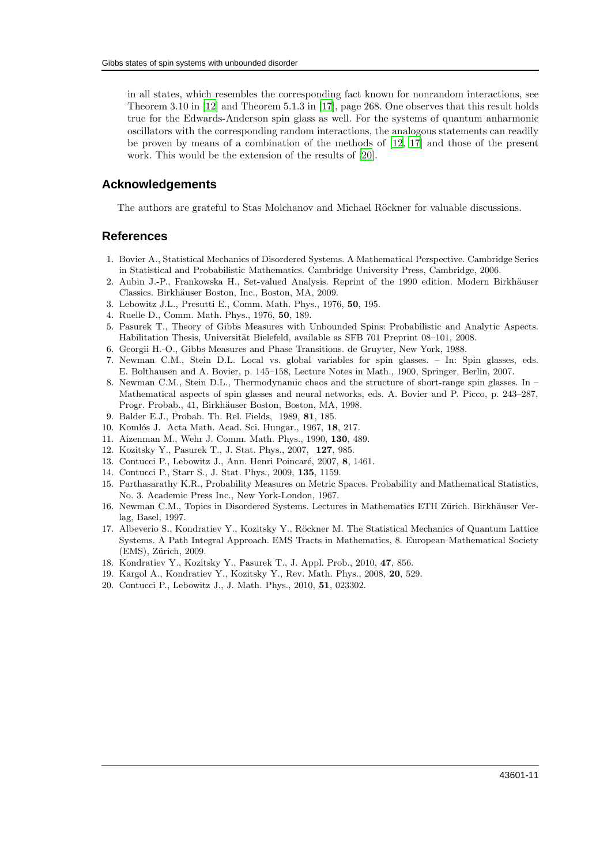in all states, which resembles the corresponding fact known for nonrandom interactions, see Theorem 3.10 in [\[12](#page-10-11)] and Theorem 5.1.3 in [\[17](#page-10-16)], page 268. One observes that this result holds true for the Edwards-Anderson spin glass as well. For the systems of quantum anharmonic oscillators with the corresponding random interactions, the analogous statements can readily be proven by means of a combination of the methods of [\[12](#page-10-11), [17](#page-10-16)] and those of the present work. This would be the extension of the results of [\[20](#page-10-19)].

### **Acknowledgements**

The authors are grateful to Stas Molchanov and Michael Röckner for valuable discussions.

## **References**

- <span id="page-10-0"></span>1. Bovier A., Statistical Mechanics of Disordered Systems. A Mathematical Perspective. Cambridge Series in Statistical and Probabilistic Mathematics. Cambridge University Press, Cambridge, 2006.
- <span id="page-10-1"></span>2. Aubin J.-P., Frankowska H., Set-valued Analysis. Reprint of the 1990 edition. Modern Birkhäuser Classics. Birkhäuser Boston, Inc., Boston, MA, 2009.
- <span id="page-10-2"></span>3. Lebowitz J.L., Presutti E., Comm. Math. Phys., 1976, 50, 195.
- <span id="page-10-3"></span>4. Ruelle D., Comm. Math. Phys., 1976, 50, 189.
- <span id="page-10-4"></span>5. Pasurek T., Theory of Gibbs Measures with Unbounded Spins: Probabilistic and Analytic Aspects. Habilitation Thesis, Universität Bielefeld, available as SFB 701 Preprint 08–101, 2008.
- <span id="page-10-5"></span>6. Georgii H.-O., Gibbs Measures and Phase Transitions. de Gruyter, New York, 1988.
- <span id="page-10-6"></span>7. Newman C.M., Stein D.L. Local vs. global variables for spin glasses. – In: Spin glasses, eds. E. Bolthausen and A. Bovier, p. 145–158, Lecture Notes in Math., 1900, Springer, Berlin, 2007.
- <span id="page-10-7"></span>8. Newman C.M., Stein D.L., Thermodynamic chaos and the structure of short-range spin glasses. In – Mathematical aspects of spin glasses and neural networks, eds. A. Bovier and P. Picco, p. 243–287, Progr. Probab., 41, Birkhäuser Boston, Boston, MA, 1998.
- <span id="page-10-8"></span>9. Balder E.J., Probab. Th. Rel. Fields, 1989, 81, 185.
- <span id="page-10-9"></span>10. Komlós J. Acta Math. Acad. Sci. Hungar., 1967, 18, 217.
- <span id="page-10-10"></span>11. Aizenman M., Wehr J. Comm. Math. Phys., 1990, 130, 489.
- <span id="page-10-11"></span>12. Kozitsky Y., Pasurek T., J. Stat. Phys., 2007, 127, 985.
- <span id="page-10-12"></span>13. Contucci P., Lebowitz J., Ann. Henri Poincaré, 2007, 8, 1461.
- <span id="page-10-13"></span>14. Contucci P., Starr S., J. Stat. Phys., 2009, 135, 1159.
- <span id="page-10-14"></span>15. Parthasarathy K.R., Probability Measures on Metric Spaces. Probability and Mathematical Statistics, No. 3. Academic Press Inc., New York-London, 1967.
- <span id="page-10-15"></span>16. Newman C.M., Topics in Disordered Systems. Lectures in Mathematics ETH Zürich. Birkhäuser Verlag, Basel, 1997.
- <span id="page-10-16"></span>17. Albeverio S., Kondratiev Y., Kozitsky Y., Röckner M. The Statistical Mechanics of Quantum Lattice Systems. A Path Integral Approach. EMS Tracts in Mathematics, 8. European Mathematical Society  $(EMS), Zürich, 2009.$
- <span id="page-10-17"></span>18. Kondratiev Y., Kozitsky Y., Pasurek T., J. Appl. Prob., 2010, 47, 856.
- <span id="page-10-18"></span>19. Kargol A., Kondratiev Y., Kozitsky Y., Rev. Math. Phys., 2008, 20, 529.
- <span id="page-10-19"></span>20. Contucci P., Lebowitz J., J. Math. Phys., 2010, 51, 023302.